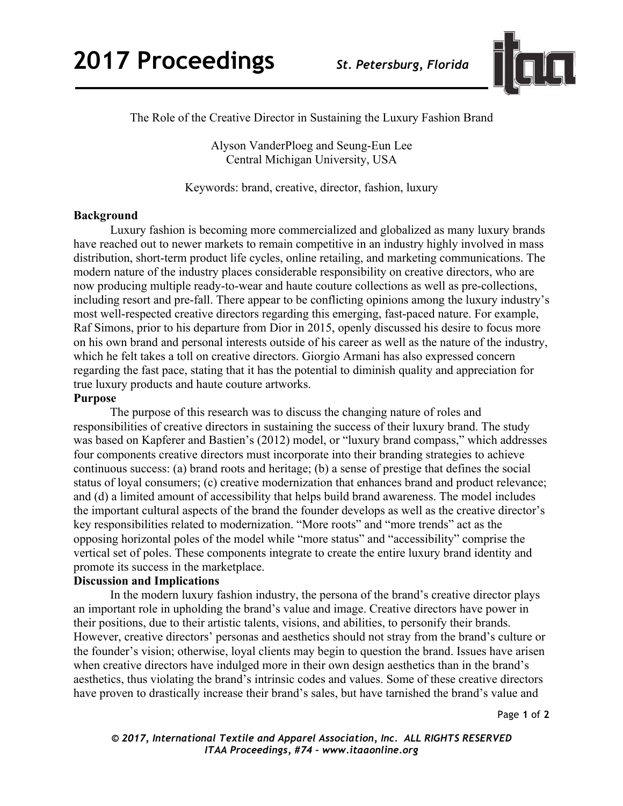

The Role of the Creative Director in Sustaining the Luxury Fashion Brand

Alyson VanderPloeg and Seung-Eun Lee Central Michigan University, USA

Keywords: brand, creative, director, fashion, luxury

## **Background**

Luxury fashion is becoming more commercialized and globalized as many luxury brands have reached out to newer markets to remain competitive in an industry highly involved in mass distribution, short-term product life cycles, online retailing, and marketing communications. The modern nature of the industry places considerable responsibility on creative directors, who are now producing multiple ready-to-wear and haute couture collections as well as pre-collections, including resort and pre-fall. There appear to be conflicting opinions among the luxury industry's most well-respected creative directors regarding this emerging, fast-paced nature. For example, Raf Simons, prior to his departure from Dior in 2015, openly discussed his desire to focus more on his own brand and personal interests outside of his career as well as the nature of the industry, which he felt takes a toll on creative directors. Giorgio Armani has also expressed concern regarding the fast pace, stating that it has the potential to diminish quality and appreciation for true luxury products and haute couture artworks.

## **Purpose**

The purpose of this research was to discuss the changing nature of roles and responsibilities of creative directors in sustaining the success of their luxury brand. The study was based on Kapferer and Bastien's (2012) model, or "luxury brand compass," which addresses four components creative directors must incorporate into their branding strategies to achieve continuous success: (a) brand roots and heritage; (b) a sense of prestige that defines the social status of loyal consumers; (c) creative modernization that enhances brand and product relevance; and (d) a limited amount of accessibility that helps build brand awareness. The model includes the important cultural aspects of the brand the founder develops as well as the creative director's key responsibilities related to modernization. "More roots" and "more trends" act as the opposing horizontal poles of the model while "more status" and "accessibility" comprise the vertical set of poles. These components integrate to create the entire luxury brand identity and promote its success in the marketplace.

## **Discussion and Implications**

In the modern luxury fashion industry, the persona of the brand's creative director plays an important role in upholding the brand's value and image. Creative directors have power in their positions, due to their artistic talents, visions, and abilities, to personify their brands. However, creative directors' personas and aesthetics should not stray from the brand's culture or the founder's vision; otherwise, loyal clients may begin to question the brand. Issues have arisen when creative directors have indulged more in their own design aesthetics than in the brand's aesthetics, thus violating the brand's intrinsic codes and values. Some of these creative directors have proven to drastically increase their brand's sales, but have tarnished the brand's value and

Page **1** of **2**

*© 2017, International Textile and Apparel Association, Inc. ALL RIGHTS RESERVED ITAA Proceedings, #74 – www.itaaonline.org*